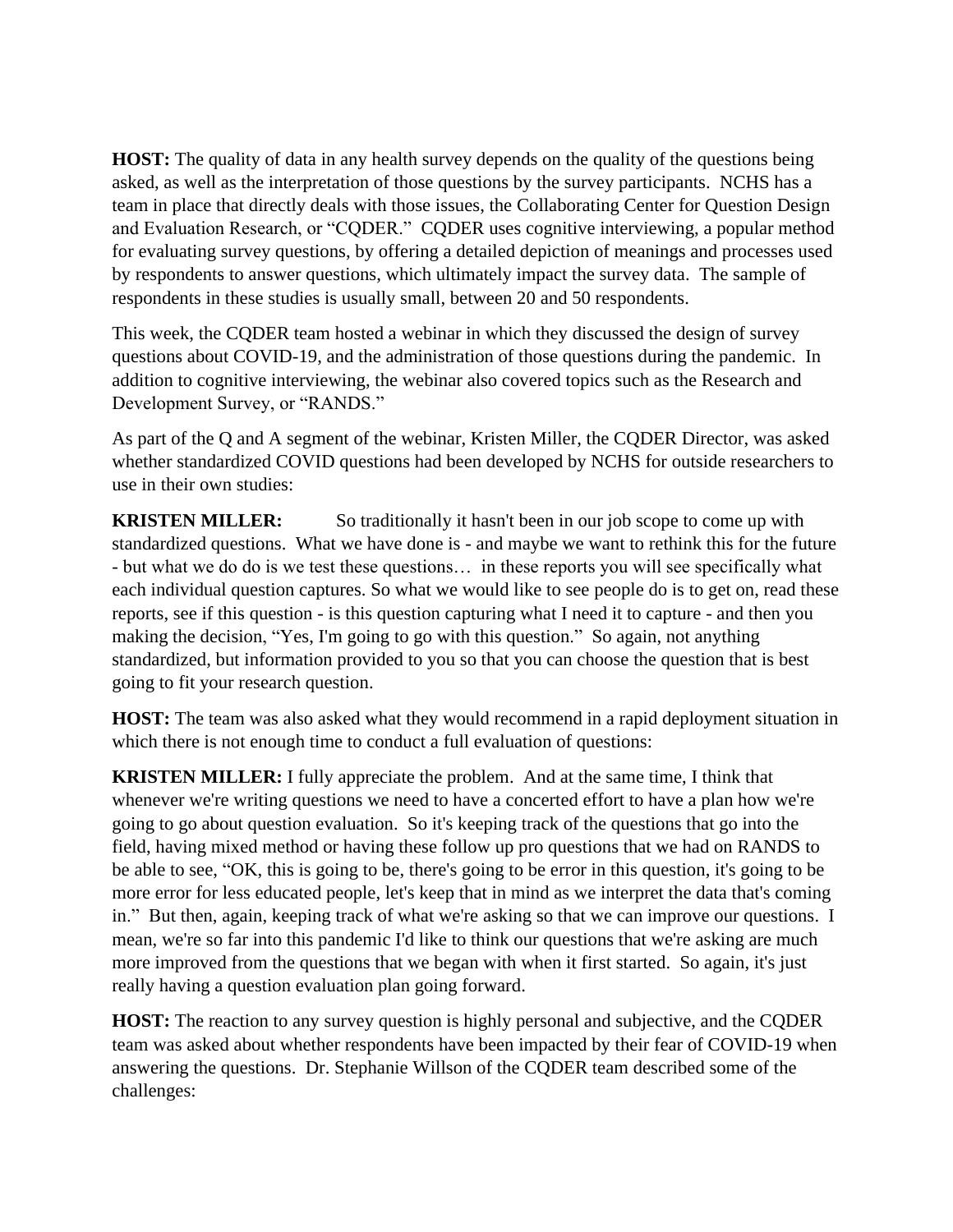**HOST:** The quality of data in any health survey depends on the quality of the questions being asked, as well as the interpretation of those questions by the survey participants. NCHS has a team in place that directly deals with those issues, the Collaborating Center for Question Design and Evaluation Research, or "CQDER." CQDER uses cognitive interviewing, a popular method for evaluating survey questions, by offering a detailed depiction of meanings and processes used by respondents to answer questions, which ultimately impact the survey data. The sample of respondents in these studies is usually small, between 20 and 50 respondents.

This week, the CQDER team hosted a webinar in which they discussed the design of survey questions about COVID-19, and the administration of those questions during the pandemic. In addition to cognitive interviewing, the webinar also covered topics such as the Research and Development Survey, or "RANDS."

As part of the Q and A segment of the webinar, Kristen Miller, the CQDER Director, was asked whether standardized COVID questions had been developed by NCHS for outside researchers to use in their own studies:

**KRISTEN MILLER:** So traditionally it hasn't been in our job scope to come up with standardized questions. What we have done is - and maybe we want to rethink this for the future - but what we do do is we test these questions… in these reports you will see specifically what each individual question captures. So what we would like to see people do is to get on, read these reports, see if this question - is this question capturing what I need it to capture - and then you making the decision, "Yes, I'm going to go with this question." So again, not anything standardized, but information provided to you so that you can choose the question that is best going to fit your research question.

**HOST:** The team was also asked what they would recommend in a rapid deployment situation in which there is not enough time to conduct a full evaluation of questions:

**KRISTEN MILLER:** I fully appreciate the problem. And at the same time, I think that whenever we're writing questions we need to have a concerted effort to have a plan how we're going to go about question evaluation. So it's keeping track of the questions that go into the field, having mixed method or having these follow up pro questions that we had on RANDS to be able to see, "OK, this is going to be, there's going to be error in this question, it's going to be more error for less educated people, let's keep that in mind as we interpret the data that's coming in." But then, again, keeping track of what we're asking so that we can improve our questions. I mean, we're so far into this pandemic I'd like to think our questions that we're asking are much more improved from the questions that we began with when it first started. So again, it's just really having a question evaluation plan going forward.

**HOST:** The reaction to any survey question is highly personal and subjective, and the CQDER team was asked about whether respondents have been impacted by their fear of COVID-19 when answering the questions. Dr. Stephanie Willson of the CQDER team described some of the challenges: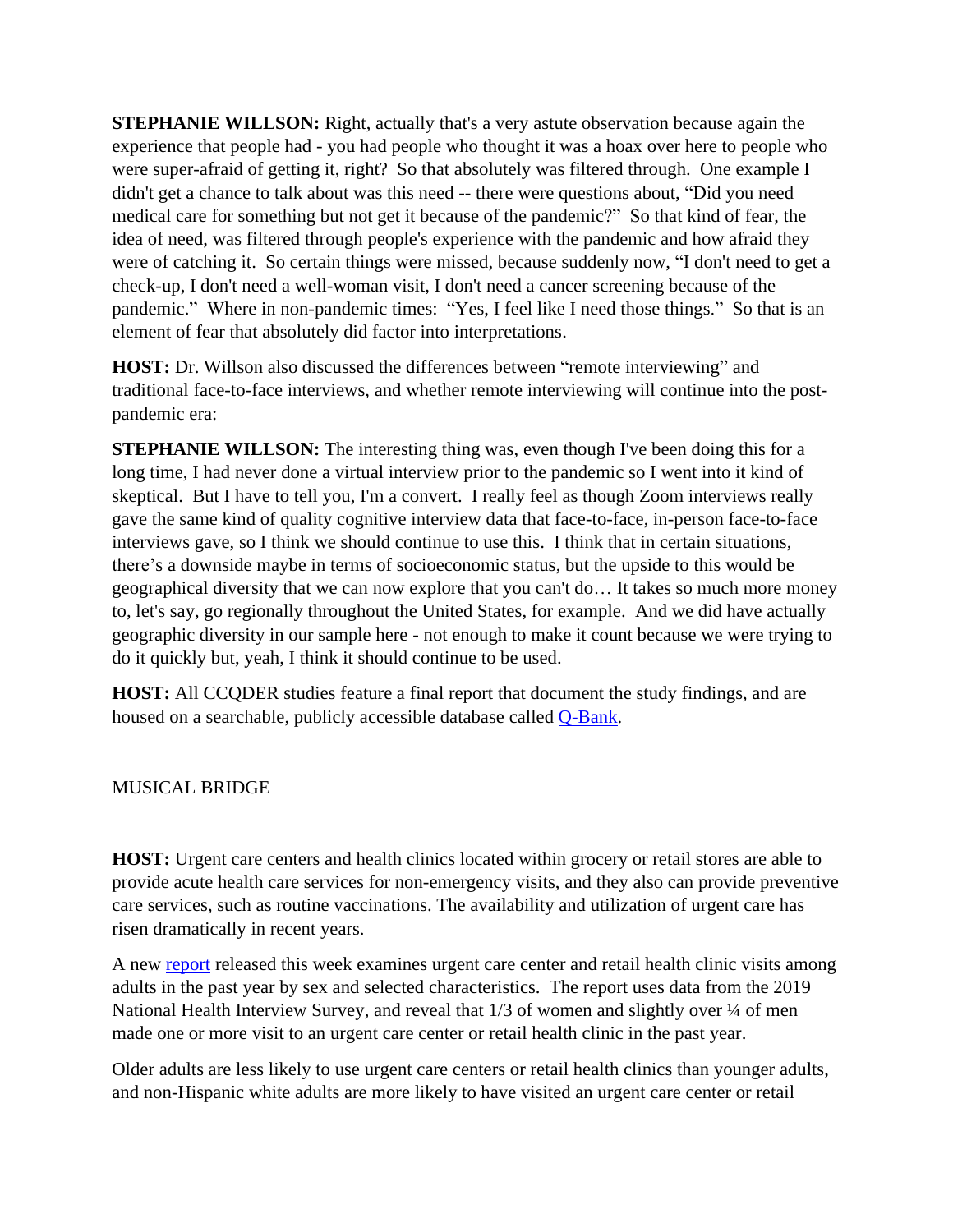**STEPHANIE WILLSON:** Right, actually that's a very astute observation because again the experience that people had - you had people who thought it was a hoax over here to people who were super-afraid of getting it, right? So that absolutely was filtered through. One example I didn't get a chance to talk about was this need -- there were questions about, "Did you need medical care for something but not get it because of the pandemic?" So that kind of fear, the idea of need, was filtered through people's experience with the pandemic and how afraid they were of catching it. So certain things were missed, because suddenly now, "I don't need to get a check-up, I don't need a well-woman visit, I don't need a cancer screening because of the pandemic." Where in non-pandemic times: "Yes, I feel like I need those things." So that is an element of fear that absolutely did factor into interpretations.

**HOST:** Dr. Willson also discussed the differences between "remote interviewing" and traditional face-to-face interviews, and whether remote interviewing will continue into the postpandemic era:

**STEPHANIE WILLSON:** The interesting thing was, even though I've been doing this for a long time, I had never done a virtual interview prior to the pandemic so I went into it kind of skeptical. But I have to tell you, I'm a convert. I really feel as though Zoom interviews really gave the same kind of quality cognitive interview data that face-to-face, in-person face-to-face interviews gave, so I think we should continue to use this. I think that in certain situations, there's a downside maybe in terms of socioeconomic status, but the upside to this would be geographical diversity that we can now explore that you can't do… It takes so much more money to, let's say, go regionally throughout the United States, for example. And we did have actually geographic diversity in our sample here - not enough to make it count because we were trying to do it quickly but, yeah, I think it should continue to be used.

**HOST:** All CCQDER studies feature a final report that document the study findings, and are housed on a searchable, publicly accessible database called [Q-Bank.](https://www.cdc.gov/qbank)

MUSICAL BRIDGE

**HOST:** Urgent care centers and health clinics located within grocery or retail stores are able to provide acute health care services for non-emergency visits, and they also can provide preventive care services, such as routine vaccinations. The availability and utilization of urgent care has risen dramatically in recent years.

A new [report](https://www.cdc.gov/nchs/products/databriefs/db409.htm) released this week examines urgent care center and retail health clinic visits among adults in the past year by sex and selected characteristics. The report uses data from the 2019 National Health Interview Survey, and reveal that 1/3 of women and slightly over  $\frac{1}{4}$  of men made one or more visit to an urgent care center or retail health clinic in the past year.

Older adults are less likely to use urgent care centers or retail health clinics than younger adults, and non-Hispanic white adults are more likely to have visited an urgent care center or retail